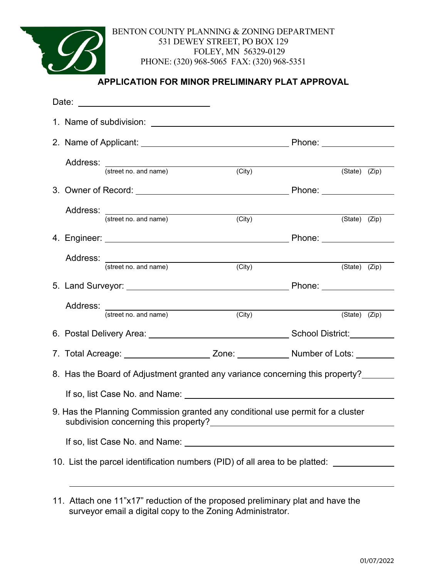

BENTON COUNTY PLANNING & ZONING DEPARTMENT 531 DEWEY STREET, PO BOX 129 FOLEY, MN 56329-0129 PHONE: (320) 968-5065 FAX: (320) 968-5351

### **APPLICATION FOR MINOR PRELIMINARY PLAT APPROVAL**

|                                                                                         |                                                                                                    | Date: ____________________________ |        |                                 |  |  |  |  |  |
|-----------------------------------------------------------------------------------------|----------------------------------------------------------------------------------------------------|------------------------------------|--------|---------------------------------|--|--|--|--|--|
|                                                                                         |                                                                                                    |                                    |        |                                 |  |  |  |  |  |
|                                                                                         |                                                                                                    |                                    |        |                                 |  |  |  |  |  |
|                                                                                         |                                                                                                    | Address: (street no. and name)     | (City) | $(\text{State})$ $(\text{Zip})$ |  |  |  |  |  |
|                                                                                         |                                                                                                    |                                    |        |                                 |  |  |  |  |  |
|                                                                                         |                                                                                                    | Address: (street no. and name)     | (City) | $(\text{State})$ (Zip)          |  |  |  |  |  |
|                                                                                         |                                                                                                    |                                    |        |                                 |  |  |  |  |  |
|                                                                                         |                                                                                                    | Address: (street no. and name)     | (City) | (State) (Zip)                   |  |  |  |  |  |
|                                                                                         |                                                                                                    |                                    |        | Phone: _______________          |  |  |  |  |  |
|                                                                                         |                                                                                                    | Address: (street no. and name)     | (City) | (State) (Zip)                   |  |  |  |  |  |
|                                                                                         |                                                                                                    |                                    |        |                                 |  |  |  |  |  |
|                                                                                         | 7. Total Acreage: ____________________________Zone: ___________________Number of Lots: ___________ |                                    |        |                                 |  |  |  |  |  |
| 8. Has the Board of Adjustment granted any variance concerning this property?           |                                                                                                    |                                    |        |                                 |  |  |  |  |  |
|                                                                                         |                                                                                                    |                                    |        |                                 |  |  |  |  |  |
| 9. Has the Planning Commission granted any conditional use permit for a cluster         |                                                                                                    |                                    |        |                                 |  |  |  |  |  |
|                                                                                         |                                                                                                    |                                    |        |                                 |  |  |  |  |  |
| 10. List the parcel identification numbers (PID) of all area to be platted: ___________ |                                                                                                    |                                    |        |                                 |  |  |  |  |  |
|                                                                                         |                                                                                                    |                                    |        |                                 |  |  |  |  |  |

<sup>11.</sup> Attach one 11"x17" reduction of the proposed preliminary plat and have the surveyor email a digital copy to the Zoning Administrator.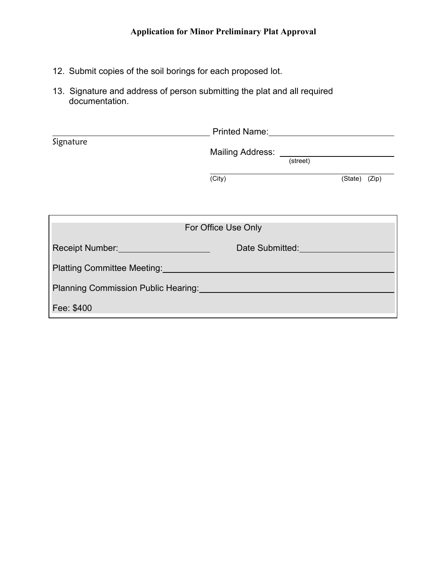- 12. Submit copies of the soil borings for each proposed lot.
- 13. Signature and address of person submitting the plat and all required documentation.

|                                                                                                                                                                                                                                | <b>Printed Name:</b> Printed Name: |               |  |  |  |  |  |
|--------------------------------------------------------------------------------------------------------------------------------------------------------------------------------------------------------------------------------|------------------------------------|---------------|--|--|--|--|--|
| Signature                                                                                                                                                                                                                      | (street)                           |               |  |  |  |  |  |
|                                                                                                                                                                                                                                | (City)                             | (State) (Zip) |  |  |  |  |  |
|                                                                                                                                                                                                                                |                                    |               |  |  |  |  |  |
| For Office Use Only                                                                                                                                                                                                            |                                    |               |  |  |  |  |  |
| Receipt Number: National Property of the Contract of the Contract of the Contract of the Contract of the Contract of the Contract of the Contract of the Contract of the Contract of the Contract of the Contract of the Contr | Date Submitted:                    |               |  |  |  |  |  |
| Platting Committee Meeting: Network of the Committee Meeting:                                                                                                                                                                  |                                    |               |  |  |  |  |  |
| <b>Planning Commission Public Hearing: Example 2014</b>                                                                                                                                                                        |                                    |               |  |  |  |  |  |
| Fee: \$400                                                                                                                                                                                                                     |                                    |               |  |  |  |  |  |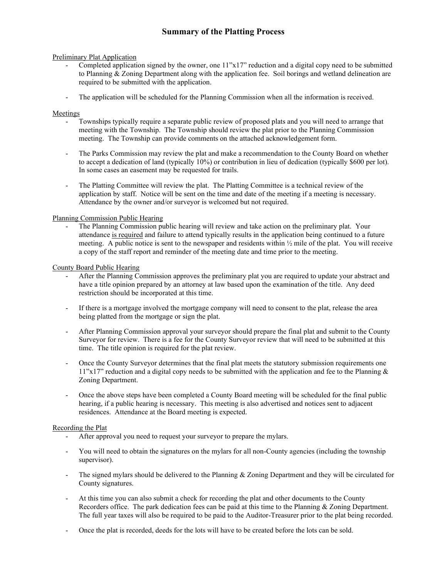### **Summary of the Platting Process**

#### Preliminary Plat Application

- Completed application signed by the owner, one 11"x17" reduction and a digital copy need to be submitted to Planning & Zoning Department along with the application fee. Soil borings and wetland delineation are required to be submitted with the application.
- The application will be scheduled for the Planning Commission when all the information is received.

#### Meetings

- Townships typically require a separate public review of proposed plats and you will need to arrange that meeting with the Township. The Township should review the plat prior to the Planning Commission meeting. The Township can provide comments on the attached acknowledgement form.
- The Parks Commission may review the plat and make a recommendation to the County Board on whether to accept a dedication of land (typically 10%) or contribution in lieu of dedication (typically \$600 per lot). In some cases an easement may be requested for trails.
- The Platting Committee will review the plat. The Platting Committee is a technical review of the application by staff. Notice will be sent on the time and date of the meeting if a meeting is necessary. Attendance by the owner and/or surveyor is welcomed but not required.

#### Planning Commission Public Hearing

- The Planning Commission public hearing will review and take action on the preliminary plat. Your attendance is required and failure to attend typically results in the application being continued to a future meeting. A public notice is sent to the newspaper and residents within ½ mile of the plat. You will receive a copy of the staff report and reminder of the meeting date and time prior to the meeting.

#### County Board Public Hearing

- After the Planning Commission approves the preliminary plat you are required to update your abstract and have a title opinion prepared by an attorney at law based upon the examination of the title. Any deed restriction should be incorporated at this time.
- If there is a mortgage involved the mortgage company will need to consent to the plat, release the area being platted from the mortgage or sign the plat.
- After Planning Commission approval your surveyor should prepare the final plat and submit to the County Surveyor for review. There is a fee for the County Surveyor review that will need to be submitted at this time. The title opinion is required for the plat review.
- Once the County Surveyor determines that the final plat meets the statutory submission requirements one  $11"x17"$  reduction and a digital copy needs to be submitted with the application and fee to the Planning & Zoning Department.
- Once the above steps have been completed a County Board meeting will be scheduled for the final public hearing, if a public hearing is necessary. This meeting is also advertised and notices sent to adjacent residences. Attendance at the Board meeting is expected.

#### Recording the Plat

- After approval you need to request your surveyor to prepare the mylars.
- You will need to obtain the signatures on the mylars for all non-County agencies (including the township supervisor).
- The signed mylars should be delivered to the Planning  $&$  Zoning Department and they will be circulated for County signatures.
- At this time you can also submit a check for recording the plat and other documents to the County Recorders office. The park dedication fees can be paid at this time to the Planning & Zoning Department. The full year taxes will also be required to be paid to the Auditor-Treasurer prior to the plat being recorded.
- Once the plat is recorded, deeds for the lots will have to be created before the lots can be sold.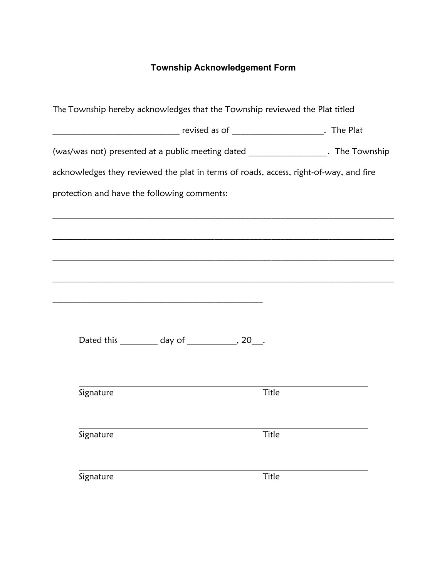### **Township Acknowledgement Form**

| The Township hereby acknowledges that the Township reviewed the Plat titled           |  |       |  |  |  |  |  |
|---------------------------------------------------------------------------------------|--|-------|--|--|--|--|--|
|                                                                                       |  |       |  |  |  |  |  |
| (was/was not) presented at a public meeting dated ____________________. The Township  |  |       |  |  |  |  |  |
| acknowledges they reviewed the plat in terms of roads, access, right-of-way, and fire |  |       |  |  |  |  |  |
| protection and have the following comments:                                           |  |       |  |  |  |  |  |
|                                                                                       |  |       |  |  |  |  |  |
|                                                                                       |  |       |  |  |  |  |  |
|                                                                                       |  |       |  |  |  |  |  |
|                                                                                       |  |       |  |  |  |  |  |
|                                                                                       |  |       |  |  |  |  |  |
| Dated this ___________ day of ______________, 20___.                                  |  |       |  |  |  |  |  |
|                                                                                       |  |       |  |  |  |  |  |
| Signature                                                                             |  | Title |  |  |  |  |  |
| Signature                                                                             |  | Title |  |  |  |  |  |
| Signature                                                                             |  | Title |  |  |  |  |  |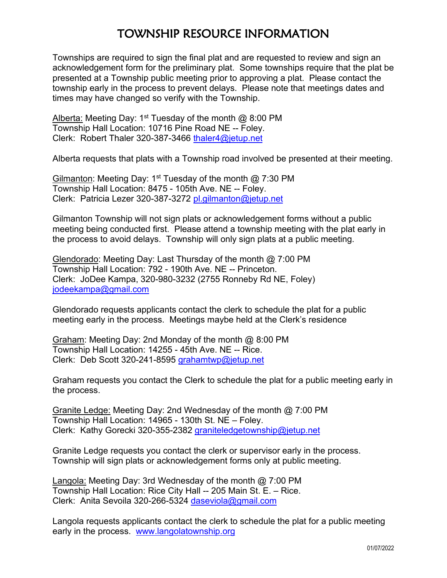## TOWNSHIP RESOURCE INFORMATION

Townships are required to sign the final plat and are requested to review and sign an acknowledgement form for the preliminary plat. Some townships require that the plat be presented at a Township public meeting prior to approving a plat. Please contact the township early in the process to prevent delays. Please note that meetings dates and times may have changed so verify with the Township.

Alberta: Meeting Day: 1<sup>st</sup> Tuesday of the month  $\omega$  8:00 PM Township Hall Location: 10716 Pine Road NE -- Foley. Clerk: Robert Thaler 320-387-3466 [thaler4@jetup.net](mailto:thaler4@jetup.net)

Alberta requests that plats with a Township road involved be presented at their meeting.

Gilmanton: Meeting Day: 1<sup>st</sup> Tuesday of the month  $\omega$  7:30 PM Township Hall Location: 8475 - 105th Ave. NE -- Foley. Clerk: Patricia Lezer 320-387-3272 [pl.gilmanton@jetup.net](mailto:pl.gilmanton@jetup.net)

Gilmanton Township will not sign plats or acknowledgement forms without a public meeting being conducted first. Please attend a township meeting with the plat early in the process to avoid delays. Township will only sign plats at a public meeting.

Glendorado: Meeting Day: Last Thursday of the month @ 7:00 PM Township Hall Location: 792 - 190th Ave. NE -- Princeton. Clerk: JoDee Kampa, 320-980-3232 (2755 Ronneby Rd NE, Foley) [jodeekampa@gmail.com](mailto:jodeekampa@gmail.com)

Glendorado requests applicants contact the clerk to schedule the plat for a public meeting early in the process. Meetings maybe held at the Clerk's residence

Graham: Meeting Day: 2nd Monday of the month @ 8:00 PM Township Hall Location: 14255 - 45th Ave. NE -- Rice. Clerk: Deb Scott 320-241-8595 [grahamtwp@jetup.net](mailto:grahamtwp@jetup.net)

Graham requests you contact the Clerk to schedule the plat for a public meeting early in the process.

Granite Ledge: Meeting Day: 2nd Wednesday of the month @ 7:00 PM Township Hall Location: 14965 - 130th St. NE – Foley. Clerk: Kathy Gorecki 320-355-2382 [graniteledgetownship@jetup.net](mailto:graniteledgetownship@jetup.net)

Granite Ledge requests you contact the clerk or supervisor early in the process. Township will sign plats or acknowledgement forms only at public meeting.

Langola: Meeting Day: 3rd Wednesday of the month @ 7:00 PM Township Hall Location: Rice City Hall -- 205 Main St. E. – Rice. Clerk: Anita Sevoila 320-266-5324 [daseviola@gmail.com](mailto:daseviola@gmail.com)

Langola requests applicants contact the clerk to schedule the plat for a public meeting early in the process. [www.langolatownship.org](http://www.langolatownship.org/)